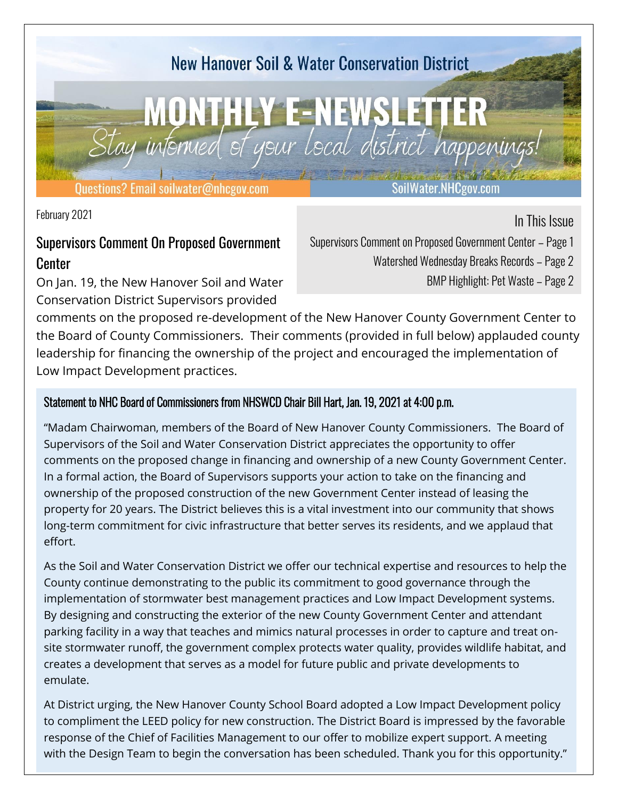

February 2021

### Supervisors Comment On Proposed Government Center

On Jan. 19, the New Hanover Soil and Water Conservation District Supervisors provided

In This Issue Supervisors Comment on Proposed Government Center – Page 1 Watershed Wednesday Breaks Records – Page 2

BMP Highlight: Pet Waste – Page 2

comments on the proposed re-development of the New Hanover County Government Center to the Board of County Commissioners. Their comments (provided in full below) applauded county leadership for financing the ownership of the project and encouraged the implementation of Low Impact Development practices.

#### Statement to NHC Board of Commissioners from NHSWCD Chair Bill Hart, Jan. 19, 2021 at 4:00 p.m.

"Madam Chairwoman, members of the Board of New Hanover County Commissioners. The Board of Supervisors of the Soil and Water Conservation District appreciates the opportunity to offer comments on the proposed change in financing and ownership of a new County Government Center. In a formal action, the Board of Supervisors supports your action to take on the financing and ownership of the proposed construction of the new Government Center instead of leasing the property for 20 years. The District believes this is a vital investment into our community that shows long-term commitment for civic infrastructure that better serves its residents, and we applaud that effort.

As the Soil and Water Conservation District we offer our technical expertise and resources to help the County continue demonstrating to the public its commitment to good governance through the implementation of stormwater best management practices and Low Impact Development systems. By designing and constructing the exterior of the new County Government Center and attendant parking facility in a way that teaches and mimics natural processes in order to capture and treat onsite stormwater runoff, the government complex protects water quality, provides wildlife habitat, and creates a development that serves as a model for future public and private developments to emulate.

At District urging, the New Hanover County School Board adopted a Low Impact Development policy to compliment the LEED policy for new construction. The District Board is impressed by the favorable response of the Chief of Facilities Management to our offer to mobilize expert support. A meeting with the Design Team to begin the conversation has been scheduled. Thank you for this opportunity."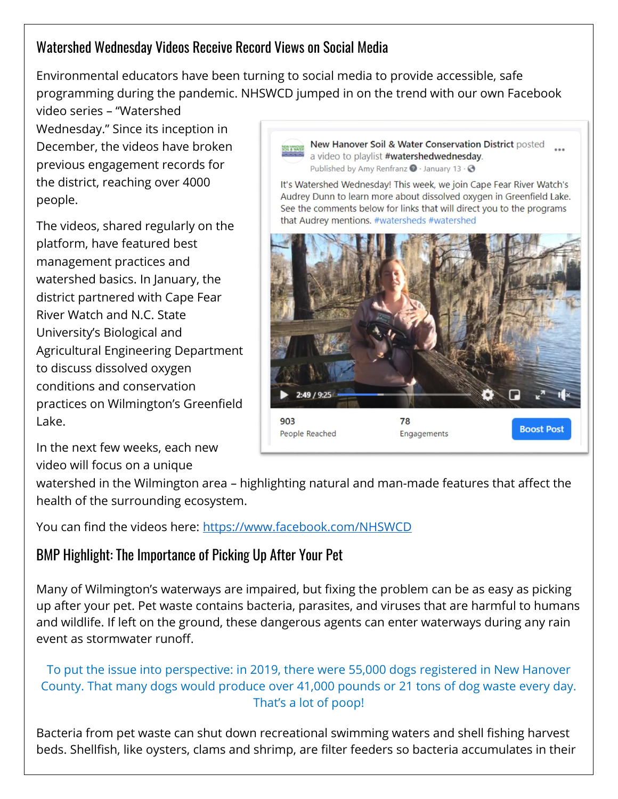## Watershed Wednesday Videos Receive Record Views on Social Media

Environmental educators have been turning to social media to provide accessible, safe programming during the pandemic. NHSWCD jumped in on the trend with our own Facebook

video series – "Watershed Wednesday." Since its inception in December, the videos have broken previous engagement records for the district, reaching over 4000 people.

The videos, shared regularly on the platform, have featured best management practices and watershed basics. In January, the district partnered with Cape Fear River Watch and N.C. State University's Biological and Agricultural Engineering Department to discuss dissolved oxygen conditions and conservation practices on Wilmington's Greenfield Lake.

New Hanover Soil & Water Conservation District posted a video to playlist #watershedwednesday. Published by Amy Renfranz @ · January 13 · @

It's Watershed Wednesday! This week, we join Cape Fear River Watch's Audrey Dunn to learn more about dissolved oxygen in Greenfield Lake. See the comments below for links that will direct you to the programs that Audrey mentions. #watersheds #watershed



In the next few weeks, each new video will focus on a unique

watershed in the Wilmington area – highlighting natural and man-made features that affect the health of the surrounding ecosystem.

You can find the videos here:<https://www.facebook.com/NHSWCD>

# BMP Highlight: The Importance of Picking Up After Your Pet

Many of Wilmington's waterways are impaired, but fixing the problem can be as easy as picking up after your pet. Pet waste contains bacteria, parasites, and viruses that are harmful to humans and wildlife. If left on the ground, these dangerous agents can enter waterways during any rain event as stormwater runoff.

#### To put the issue into perspective: in 2019, there were 55,000 dogs registered in New Hanover County. That many dogs would produce over 41,000 pounds or 21 tons of dog waste every day. That's a lot of poop!

Bacteria from pet waste can shut down recreational swimming waters and shell fishing harvest beds. Shellfish, like oysters, clams and shrimp, are filter feeders so bacteria accumulates in their